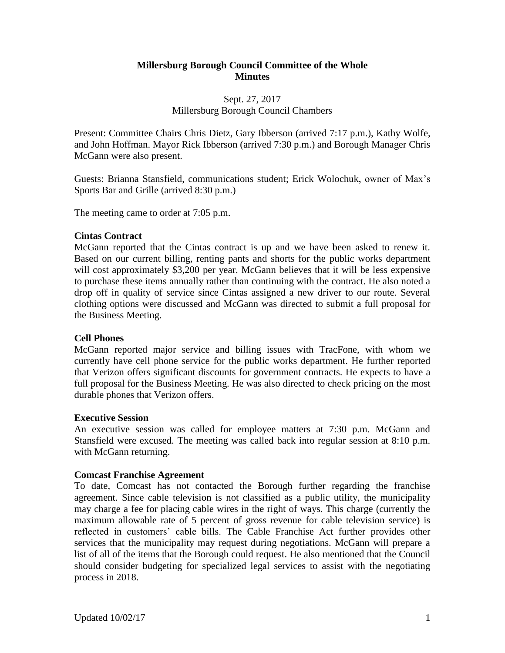## **Millersburg Borough Council Committee of the Whole Minutes**

## Sept. 27, 2017 Millersburg Borough Council Chambers

Present: Committee Chairs Chris Dietz, Gary Ibberson (arrived 7:17 p.m.), Kathy Wolfe, and John Hoffman. Mayor Rick Ibberson (arrived 7:30 p.m.) and Borough Manager Chris McGann were also present.

Guests: Brianna Stansfield, communications student; Erick Wolochuk, owner of Max's Sports Bar and Grille (arrived 8:30 p.m.)

The meeting came to order at 7:05 p.m.

### **Cintas Contract**

McGann reported that the Cintas contract is up and we have been asked to renew it. Based on our current billing, renting pants and shorts for the public works department will cost approximately \$3,200 per year. McGann believes that it will be less expensive to purchase these items annually rather than continuing with the contract. He also noted a drop off in quality of service since Cintas assigned a new driver to our route. Several clothing options were discussed and McGann was directed to submit a full proposal for the Business Meeting.

# **Cell Phones**

McGann reported major service and billing issues with TracFone, with whom we currently have cell phone service for the public works department. He further reported that Verizon offers significant discounts for government contracts. He expects to have a full proposal for the Business Meeting. He was also directed to check pricing on the most durable phones that Verizon offers.

### **Executive Session**

An executive session was called for employee matters at 7:30 p.m. McGann and Stansfield were excused. The meeting was called back into regular session at 8:10 p.m. with McGann returning.

### **Comcast Franchise Agreement**

To date, Comcast has not contacted the Borough further regarding the franchise agreement. Since cable television is not classified as a public utility, the municipality may charge a fee for placing cable wires in the right of ways. This charge (currently the maximum allowable rate of 5 percent of gross revenue for cable television service) is reflected in customers' cable bills. The Cable Franchise Act further provides other services that the municipality may request during negotiations. McGann will prepare a list of all of the items that the Borough could request. He also mentioned that the Council should consider budgeting for specialized legal services to assist with the negotiating process in 2018.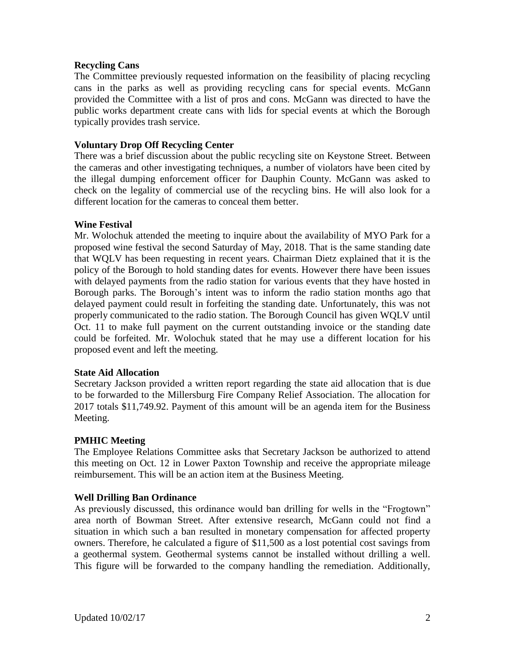### **Recycling Cans**

The Committee previously requested information on the feasibility of placing recycling cans in the parks as well as providing recycling cans for special events. McGann provided the Committee with a list of pros and cons. McGann was directed to have the public works department create cans with lids for special events at which the Borough typically provides trash service.

## **Voluntary Drop Off Recycling Center**

There was a brief discussion about the public recycling site on Keystone Street. Between the cameras and other investigating techniques, a number of violators have been cited by the illegal dumping enforcement officer for Dauphin County. McGann was asked to check on the legality of commercial use of the recycling bins. He will also look for a different location for the cameras to conceal them better.

### **Wine Festival**

Mr. Wolochuk attended the meeting to inquire about the availability of MYO Park for a proposed wine festival the second Saturday of May, 2018. That is the same standing date that WQLV has been requesting in recent years. Chairman Dietz explained that it is the policy of the Borough to hold standing dates for events. However there have been issues with delayed payments from the radio station for various events that they have hosted in Borough parks. The Borough's intent was to inform the radio station months ago that delayed payment could result in forfeiting the standing date. Unfortunately, this was not properly communicated to the radio station. The Borough Council has given WQLV until Oct. 11 to make full payment on the current outstanding invoice or the standing date could be forfeited. Mr. Wolochuk stated that he may use a different location for his proposed event and left the meeting.

### **State Aid Allocation**

Secretary Jackson provided a written report regarding the state aid allocation that is due to be forwarded to the Millersburg Fire Company Relief Association. The allocation for 2017 totals \$11,749.92. Payment of this amount will be an agenda item for the Business Meeting.

# **PMHIC Meeting**

The Employee Relations Committee asks that Secretary Jackson be authorized to attend this meeting on Oct. 12 in Lower Paxton Township and receive the appropriate mileage reimbursement. This will be an action item at the Business Meeting.

# **Well Drilling Ban Ordinance**

As previously discussed, this ordinance would ban drilling for wells in the "Frogtown" area north of Bowman Street. After extensive research, McGann could not find a situation in which such a ban resulted in monetary compensation for affected property owners. Therefore, he calculated a figure of \$11,500 as a lost potential cost savings from a geothermal system. Geothermal systems cannot be installed without drilling a well. This figure will be forwarded to the company handling the remediation. Additionally,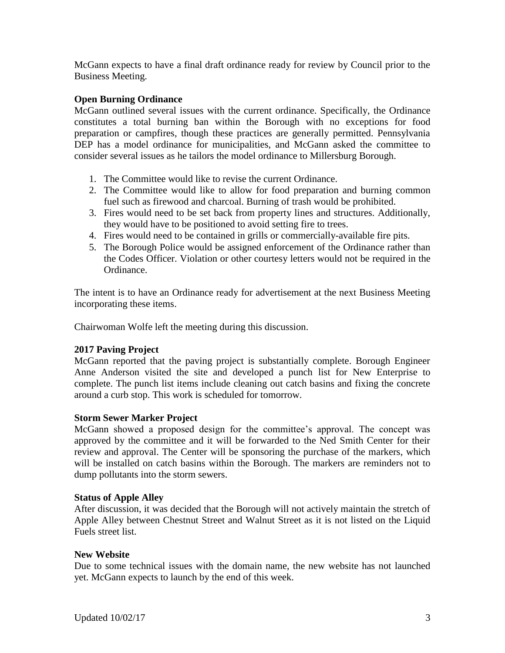McGann expects to have a final draft ordinance ready for review by Council prior to the Business Meeting.

## **Open Burning Ordinance**

McGann outlined several issues with the current ordinance. Specifically, the Ordinance constitutes a total burning ban within the Borough with no exceptions for food preparation or campfires, though these practices are generally permitted. Pennsylvania DEP has a model ordinance for municipalities, and McGann asked the committee to consider several issues as he tailors the model ordinance to Millersburg Borough.

- 1. The Committee would like to revise the current Ordinance.
- 2. The Committee would like to allow for food preparation and burning common fuel such as firewood and charcoal. Burning of trash would be prohibited.
- 3. Fires would need to be set back from property lines and structures. Additionally, they would have to be positioned to avoid setting fire to trees.
- 4. Fires would need to be contained in grills or commercially-available fire pits.
- 5. The Borough Police would be assigned enforcement of the Ordinance rather than the Codes Officer. Violation or other courtesy letters would not be required in the Ordinance.

The intent is to have an Ordinance ready for advertisement at the next Business Meeting incorporating these items.

Chairwoman Wolfe left the meeting during this discussion.

### **2017 Paving Project**

McGann reported that the paving project is substantially complete. Borough Engineer Anne Anderson visited the site and developed a punch list for New Enterprise to complete. The punch list items include cleaning out catch basins and fixing the concrete around a curb stop. This work is scheduled for tomorrow.

### **Storm Sewer Marker Project**

McGann showed a proposed design for the committee's approval. The concept was approved by the committee and it will be forwarded to the Ned Smith Center for their review and approval. The Center will be sponsoring the purchase of the markers, which will be installed on catch basins within the Borough. The markers are reminders not to dump pollutants into the storm sewers.

### **Status of Apple Alley**

After discussion, it was decided that the Borough will not actively maintain the stretch of Apple Alley between Chestnut Street and Walnut Street as it is not listed on the Liquid Fuels street list.

### **New Website**

Due to some technical issues with the domain name, the new website has not launched yet. McGann expects to launch by the end of this week.